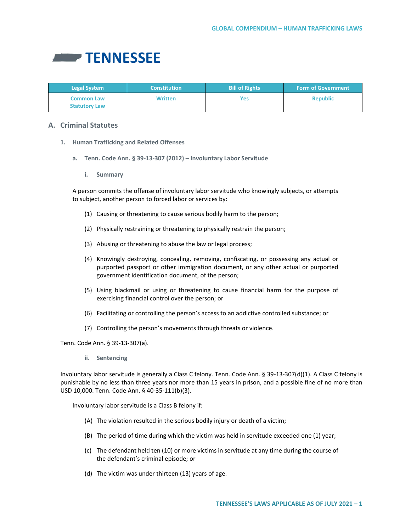

| <b>Legal System</b>                       | <b>Constitution</b> | <b>Bill of Rights</b> | <b>Form of Government</b> |
|-------------------------------------------|---------------------|-----------------------|---------------------------|
| <b>Common Law</b><br><b>Statutory Law</b> | <b>Written</b>      | <b>Yes</b>            | <b>Republic</b>           |

# **A. Criminal Statutes**

- **1. Human Trafficking and Related Offenses**
	- **a. Tenn. Code Ann. § 39-13-307 (2012) – Involuntary Labor Servitude**
		- **i. Summary**

A person commits the offense of involuntary labor servitude who knowingly subjects, or attempts to subject, another person to forced labor or services by:

- (1) Causing or threatening to cause serious bodily harm to the person;
- (2) Physically restraining or threatening to physically restrain the person;
- (3) Abusing or threatening to abuse the law or legal process;
- (4) Knowingly destroying, concealing, removing, confiscating, or possessing any actual or purported passport or other immigration document, or any other actual or purported government identification document, of the person;
- (5) Using blackmail or using or threatening to cause financial harm for the purpose of exercising financial control over the person; or
- (6) Facilitating or controlling the person's access to an addictive controlled substance; or
- (7) Controlling the person's movements through threats or violence.

Tenn. Code Ann. § 39-13-307(a).

**ii. Sentencing**

Involuntary labor servitude is generally a Class C felony. Tenn. Code Ann. § 39-13-307(d)(1). A Class C felony is punishable by no less than three years nor more than 15 years in prison, and a possible fine of no more than USD 10,000. Tenn. Code Ann. § 40-35-111(b)(3).

Involuntary labor servitude is a Class B felony if:

- (A) The violation resulted in the serious bodily injury or death of a victim;
- (B) The period of time during which the victim was held in servitude exceeded one (1) year;
- (c) The defendant held ten (10) or more victims in servitude at any time during the course of the defendant's criminal episode; or
- (d) The victim was under thirteen (13) years of age.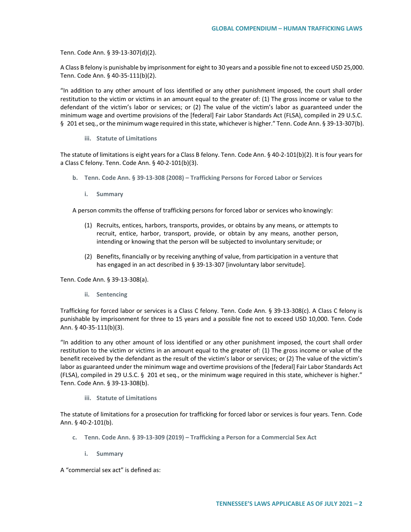Tenn. Code Ann. § 39-13-307(d)(2).

A Class B felony is punishable by imprisonment for eight to 30 years and a possible fine not to exceed USD 25,000. Tenn. Code Ann. § 40-35-111(b)(2).

"In addition to any other amount of loss identified or any other punishment imposed, the court shall order restitution to the victim or victims in an amount equal to the greater of: (1) The gross income or value to the defendant of the victim's labor or services; or (2) The value of the victim's labor as guaranteed under the minimum wage and overtime provisions of the [federal] Fair Labor Standards Act (FLSA), compiled in 29 U.S.C. § 201 et seq., or the minimum wage required in this state, whichever is higher." Tenn. Code Ann. § 39-13-307(b).

**iii. Statute of Limitations** 

The statute of limitations is eight years for a Class B felony. Tenn. Code Ann. § 40-2-101(b)(2). It is four years for a Class C felony. Tenn. Code Ann. § 40-2-101(b)(3).

- **b. Tenn. Code Ann. § 39-13-308 (2008) – Trafficking Persons for Forced Labor or Services** 
	- **i. Summary**

A person commits the offense of trafficking persons for forced labor or services who knowingly:

- (1) Recruits, entices, harbors, transports, provides, or obtains by any means, or attempts to recruit, entice, harbor, transport, provide, or obtain by any means, another person, intending or knowing that the person will be subjected to involuntary servitude; or
- (2) Benefits, financially or by receiving anything of value, from participation in a venture that has engaged in an act described in § 39-13-307 [involuntary labor servitude].

Tenn. Code Ann. § 39-13-308(a).

**ii. Sentencing**

Trafficking for forced labor or services is a Class C felony. Tenn. Code Ann. § 39-13-308(c). A Class C felony is punishable by imprisonment for three to 15 years and a possible fine not to exceed USD 10,000. Tenn. Code Ann. § 40-35-111(b)(3).

"In addition to any other amount of loss identified or any other punishment imposed, the court shall order restitution to the victim or victims in an amount equal to the greater of: (1) The gross income or value of the benefit received by the defendant as the result of the victim's labor or services; or (2) The value of the victim's labor as guaranteed under the minimum wage and overtime provisions of the [federal] Fair Labor Standards Act (FLSA), compiled in 29 U.S.C. § 201 et seq., or the minimum wage required in this state, whichever is higher." Tenn. Code Ann. § 39-13-308(b).

**iii. Statute of Limitations**

The statute of limitations for a prosecution for trafficking for forced labor or services is four years. Tenn. Code Ann. § 40-2-101(b).

- **c. Tenn. Code Ann. § 39-13-309 (2019) – Trafficking a Person for a Commercial Sex Act** 
	- **i. Summary**

A "commercial sex act" is defined as: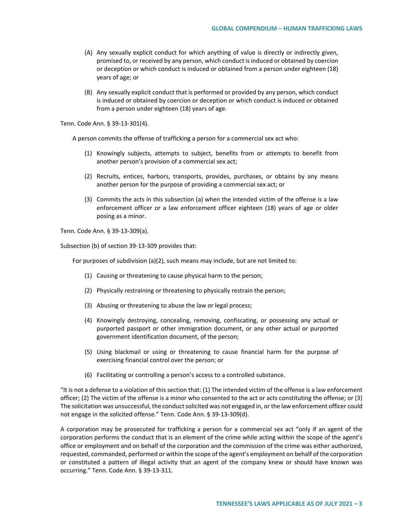- (A) Any sexually explicit conduct for which anything of value is directly or indirectly given, promised to, or received by any person, which conduct is induced or obtained by coercion or deception or which conduct is induced or obtained from a person under eighteen (18) years of age; or
- (B) Any sexually explicit conduct that is performed or provided by any person, which conduct is induced or obtained by coercion or deception or which conduct is induced or obtained from a person under eighteen (18) years of age.

Tenn. Code Ann. § 39-13-301(4).

A person commits the offense of trafficking a person for a commercial sex act who:

- (1) Knowingly subjects, attempts to subject, benefits from or attempts to benefit from another person's provision of a commercial sex act;
- (2) Recruits, entices, harbors, transports, provides, purchases, or obtains by any means another person for the purpose of providing a commercial sex act; or
- (3) Commits the acts in this subsection (a) when the intended victim of the offense is a law enforcement officer or a law enforcement officer eighteen (18) years of age or older posing as a minor.

Tenn. Code Ann. § 39-13-309(a).

Subsection (b) of section 39-13-309 provides that:

For purposes of subdivision (a)(2), such means may include, but are not limited to:

- (1) Causing or threatening to cause physical harm to the person;
- (2) Physically restraining or threatening to physically restrain the person;
- (3) Abusing or threatening to abuse the law or legal process;
- (4) Knowingly destroying, concealing, removing, confiscating, or possessing any actual or purported passport or other immigration document, or any other actual or purported government identification document, of the person;
- (5) Using blackmail or using or threatening to cause financial harm for the purpose of exercising financial control over the person; or
- (6) Facilitating or controlling a person's access to a controlled substance.

"It is not a defense to a violation of this section that: (1) The intended victim of the offense is a law enforcement officer; (2) The victim of the offense is a minor who consented to the act or acts constituting the offense; or (3) The solicitation was unsuccessful, the conduct solicited was not engaged in, or the law enforcement officer could not engage in the solicited offense." Tenn. Code Ann. § 39-13-309(d).

A corporation may be prosecuted for trafficking a person for a commercial sex act "only if an agent of the corporation performs the conduct that is an element of the crime while acting within the scope of the agent's office or employment and on behalf of the corporation and the commission of the crime was either authorized, requested, commanded, performed or within the scope of the agent's employment on behalf of the corporation or constituted a pattern of illegal activity that an agent of the company knew or should have known was occurring." Tenn. Code Ann. § 39-13-311.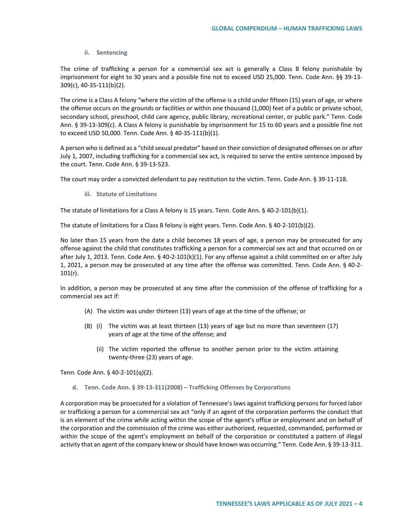### **ii. Sentencing**

The crime of trafficking a person for a commercial sex act is generally a Class B felony punishable by imprisonment for eight to 30 years and a possible fine not to exceed USD 25,000. Tenn. Code Ann. §§ 39-13- 309(c), 40-35-111(b)(2).

The crime is a Class A felony "where the victim of the offense is a child under fifteen (15) years of age, or where the offense occurs on the grounds or facilities or within one thousand (1,000) feet of a public or private school, secondary school, preschool, child care agency, public library, recreational center, or public park." Tenn. Code Ann. § 39-13-309(c). A Class A felony is punishable by imprisonment for 15 to 60 years and a possible fine not to exceed USD 50,000. Tenn. Code Ann. § 40-35-111(b)(1).

A person who is defined as a "child sexual predator" based on their conviction of designated offenses on or after July 1, 2007, including trafficking for a commercial sex act, is required to serve the entire sentence imposed by the court. Tenn. Code Ann. § 39-13-523.

The court may order a convicted defendant to pay restitution to the victim. Tenn. Code Ann. § 39-11-118.

**iii. Statute of Limitations**

The statute of limitations for a Class A felony is 15 years. Tenn. Code Ann. § 40-2-101(b)(1).

The statute of limitations for a Class B felony is eight years. Tenn. Code Ann. § 40-2-101(b)(2).

No later than 15 years from the date a child becomes 18 years of age, a person may be prosecuted for any offense against the child that constitutes trafficking a person for a commercial sex act and that occurred on or after July 1, 2013. Tenn. Code Ann. § 40-2-101(k)(1). For any offense against a child committed on or after July 1, 2021, a person may be prosecuted at any time after the offense was committed. Tenn. Code Ann. § 40-2-  $101(r)$ .

In addition, a person may be prosecuted at any time after the commission of the offense of trafficking for a commercial sex act if:

- (A) The victim was under thirteen (13) years of age at the time of the offense; or
- (B) (i) The victim was at least thirteen (13) years of age but no more than seventeen (17) years of age at the time of the offense; and
	- (ii) The victim reported the offense to another person prior to the victim attaining twenty-three (23) years of age.

Tenn. Code Ann. § 40-2-101(q)(2).

#### **d. Tenn. Code Ann. § 39-13-311(2008) – Trafficking Offenses by Corporations**

A corporation may be prosecuted for a violation of Tennessee's laws against trafficking persons for forced labor or trafficking a person for a commercial sex act "only if an agent of the corporation performs the conduct that is an element of the crime while acting within the scope of the agent's office or employment and on behalf of the corporation and the commission of the crime was either authorized, requested, commanded, performed or within the scope of the agent's employment on behalf of the corporation or constituted a pattern of illegal activity that an agent of the company knew or should have known was occurring." Tenn. Code Ann. § 39-13-311.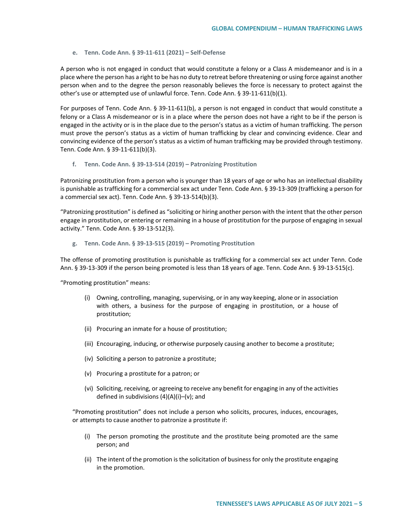#### **e. Tenn. Code Ann. § 39-11-611 (2021) – Self-Defense**

A person who is not engaged in conduct that would constitute a felony or a Class A misdemeanor and is in a place where the person has a right to be has no duty to retreat before threatening or using force against another person when and to the degree the person reasonably believes the force is necessary to protect against the other's use or attempted use of unlawful force. Tenn. Code Ann. § 39-11-611(b)(1).

For purposes of Tenn. Code Ann. § 39-11-611(b), a person is not engaged in conduct that would constitute a felony or a Class A misdemeanor or is in a place where the person does not have a right to be if the person is engaged in the activity or is in the place due to the person's status as a victim of human trafficking. The person must prove the person's status as a victim of human trafficking by clear and convincing evidence. Clear and convincing evidence of the person's status as a victim of human trafficking may be provided through testimony. Tenn. Code Ann. § 39-11-611(b)(3).

#### **f. Tenn. Code Ann. § 39-13-514 (2019) – Patronizing Prostitution**

Patronizing prostitution from a person who is younger than 18 years of age or who has an intellectual disability is punishable as trafficking for a commercial sex act under Tenn. Code Ann. § 39-13-309 (trafficking a person for a commercial sex act). Tenn. Code Ann. § 39-13-514(b)(3).

"Patronizing prostitution" is defined as "soliciting or hiring another person with the intent that the other person engage in prostitution, or entering or remaining in a house of prostitution for the purpose of engaging in sexual activity." Tenn. Code Ann. § 39-13-512(3).

**g. Tenn. Code Ann. § 39-13-515 (2019) – Promoting Prostitution** 

The offense of promoting prostitution is punishable as trafficking for a commercial sex act under Tenn. Code Ann. § 39-13-309 if the person being promoted is less than 18 years of age. Tenn. Code Ann. § 39-13-515(c).

"Promoting prostitution" means:

- (i) Owning, controlling, managing, supervising, or in any way keeping, alone or in association with others, a business for the purpose of engaging in prostitution, or a house of prostitution;
- (ii) Procuring an inmate for a house of prostitution;
- (iii) Encouraging, inducing, or otherwise purposely causing another to become a prostitute;
- (iv) Soliciting a person to patronize a prostitute;
- (v) Procuring a prostitute for a patron; or
- (vi) Soliciting, receiving, or agreeing to receive any benefit for engaging in any of the activities defined in subdivisions  $(4)(A)(i)$ –(v); and

"Promoting prostitution" does not include a person who solicits, procures, induces, encourages, or attempts to cause another to patronize a prostitute if:

- (i) The person promoting the prostitute and the prostitute being promoted are the same person; and
- (ii) The intent of the promotion is the solicitation of business for only the prostitute engaging in the promotion.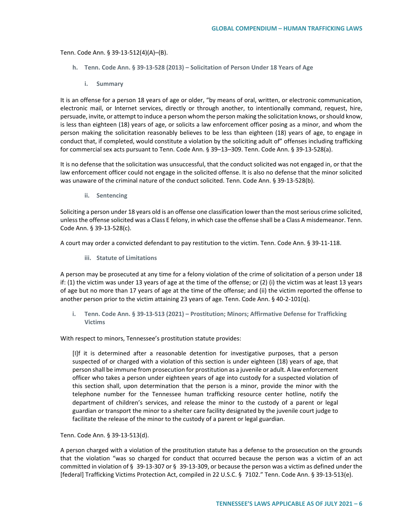Tenn. Code Ann. § 39-13-512(4)(A)–(B).

- **h. Tenn. Code Ann. § 39-13-528 (2013) – Solicitation of Person Under 18 Years of Age**
	- **i. Summary**

It is an offense for a person 18 years of age or older, "by means of oral, written, or electronic communication, electronic mail, or Internet services, directly or through another, to intentionally command, request, hire, persuade, invite, or attempt to induce a person whom the person making the solicitation knows, or should know, is less than eighteen (18) years of age, or solicits a law enforcement officer posing as a minor, and whom the person making the solicitation reasonably believes to be less than eighteen (18) years of age, to engage in conduct that, if completed, would constitute a violation by the soliciting adult of" offenses including trafficking for commercial sex acts pursuant to Tenn. Code Ann. § 39–13–309. Tenn. Code Ann. § 39-13-528(a).

It is no defense that the solicitation was unsuccessful, that the conduct solicited was not engaged in, or that the law enforcement officer could not engage in the solicited offense. It is also no defense that the minor solicited was unaware of the criminal nature of the conduct solicited. Tenn. Code Ann. § 39-13-528(b).

**ii. Sentencing** 

Soliciting a person under 18 years old is an offense one classification lower than the most serious crime solicited, unless the offense solicited was a Class E felony, in which case the offense shall be a Class A misdemeanor. Tenn. Code Ann. § 39-13-528(c).

A court may order a convicted defendant to pay restitution to the victim. Tenn. Code Ann. § 39-11-118.

**iii. Statute of Limitations**

A person may be prosecuted at any time for a felony violation of the crime of solicitation of a person under 18 if: (1) the victim was under 13 years of age at the time of the offense; or (2) (i) the victim was at least 13 years of age but no more than 17 years of age at the time of the offense; and (ii) the victim reported the offense to another person prior to the victim attaining 23 years of age. Tenn. Code Ann. § 40-2-101(q).

**i. Tenn. Code Ann. § 39-13-513 (2021) – Prostitution; Minors; Affirmative Defense for Trafficking Victims**

With respect to minors, Tennessee's prostitution statute provides:

[I]f it is determined after a reasonable detention for investigative purposes, that a person suspected of or charged with a violation of this section is under eighteen (18) years of age, that person shall be immune from prosecution for prostitution as a juvenile or adult. A law enforcement officer who takes a person under eighteen years of age into custody for a suspected violation of this section shall, upon determination that the person is a minor, provide the minor with the telephone number for the Tennessee human trafficking resource center hotline, notify the department of children's services, and release the minor to the custody of a parent or legal guardian or transport the minor to a shelter care facility designated by the juvenile court judge to facilitate the release of the minor to the custody of a parent or legal guardian.

Tenn. Code Ann. § 39-13-513(d).

A person charged with a violation of the prostitution statute has a defense to the prosecution on the grounds that the violation "was so charged for conduct that occurred because the person was a victim of an act committed in violation of § 39-13-307 or § 39-13-309, or because the person was a victim as defined under the [federal] Trafficking Victims Protection Act, compiled in 22 U.S.C. § 7102." Tenn. Code Ann. § 39-13-513(e).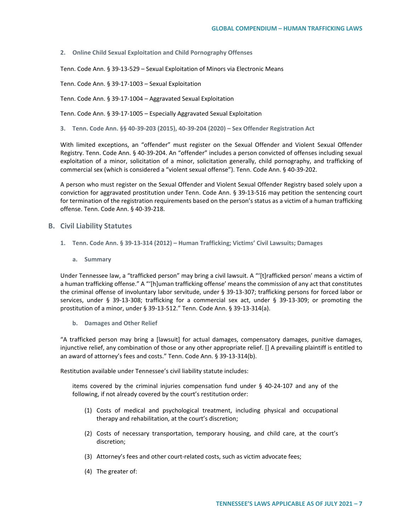**2. Online Child Sexual Exploitation and Child Pornography Offenses**

Tenn. Code Ann. § 39-13-529 – Sexual Exploitation of Minors via Electronic Means

Tenn. Code Ann. § 39-17-1003 – Sexual Exploitation

Tenn. Code Ann. § 39-17-1004 – Aggravated Sexual Exploitation

Tenn. Code Ann. § 39-17-1005 – Especially Aggravated Sexual Exploitation

**3. Tenn. Code Ann. §§ 40-39-203 (2015), 40-39-204 (2020) – Sex Offender Registration Act**

With limited exceptions, an "offender" must register on the Sexual Offender and Violent Sexual Offender Registry. Tenn. Code Ann. § 40-39-204. An "offender" includes a person convicted of offenses including sexual exploitation of a minor, solicitation of a minor, solicitation generally, child pornography, and trafficking of commercial sex (which is considered a "violent sexual offense"). Tenn. Code Ann. § 40-39-202.

A person who must register on the Sexual Offender and Violent Sexual Offender Registry based solely upon a conviction for aggravated prostitution under Tenn. Code Ann. § 39-13-516 may petition the sentencing court for termination of the registration requirements based on the person's status as a victim of a human trafficking offense. Tenn. Code Ann. § 40-39-218.

### **B. Civil Liability Statutes**

- **1. Tenn. Code Ann. § 39-13-314 (2012) – Human Trafficking; Victims' Civil Lawsuits; Damages**
	- **a. Summary**

Under Tennessee law, a "trafficked person" may bring a civil lawsuit. A "'[t]rafficked person' means a victim of a human trafficking offense." A "'[h]uman trafficking offense' means the commission of any act that constitutes the criminal offense of involuntary labor servitude, under § 39-13-307; trafficking persons for forced labor or services, under § 39-13-308; trafficking for a commercial sex act, under § 39-13-309; or promoting the prostitution of a minor, under § 39-13-512." Tenn. Code Ann. § 39-13-314(a).

**b. Damages and Other Relief**

"A trafficked person may bring a [lawsuit] for actual damages, compensatory damages, punitive damages, injunctive relief, any combination of those or any other appropriate relief. [] A prevailing plaintiff is entitled to an award of attorney's fees and costs." Tenn. Code Ann. § 39-13-314(b).

Restitution available under Tennessee's civil liability statute includes:

items covered by the criminal injuries compensation fund under § 40-24-107 and any of the following, if not already covered by the court's restitution order:

- (1) Costs of medical and psychological treatment, including physical and occupational therapy and rehabilitation, at the court's discretion;
- (2) Costs of necessary transportation, temporary housing, and child care, at the court's discretion;
- (3) Attorney's fees and other court-related costs, such as victim advocate fees;
- (4) The greater of: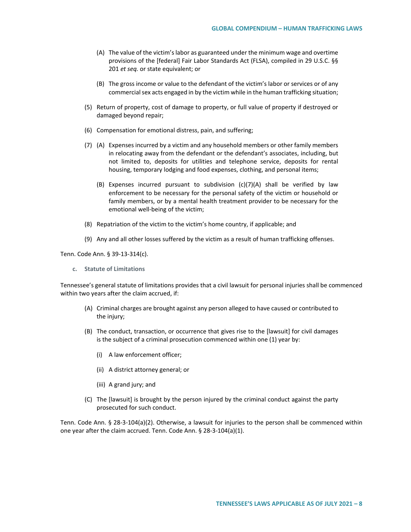- (A) The value of the victim's labor as guaranteed under the minimum wage and overtime provisions of the [federal] Fair Labor Standards Act (FLSA), compiled in 29 U.S.C. §§ 201 *et seq.* or state equivalent; or
- (B) The gross income or value to the defendant of the victim's labor or services or of any commercial sex acts engaged in by the victim while in the human trafficking situation;
- (5) Return of property, cost of damage to property, or full value of property if destroyed or damaged beyond repair;
- (6) Compensation for emotional distress, pain, and suffering;
- (7) (A) Expenses incurred by a victim and any household members or other family members in relocating away from the defendant or the defendant's associates, including, but not limited to, deposits for utilities and telephone service, deposits for rental housing, temporary lodging and food expenses, clothing, and personal items;
	- (B) Expenses incurred pursuant to subdivision  $(c)(7)(A)$  shall be verified by law enforcement to be necessary for the personal safety of the victim or household or family members, or by a mental health treatment provider to be necessary for the emotional well-being of the victim;
- (8) Repatriation of the victim to the victim's home country, if applicable; and
- (9) Any and all other losses suffered by the victim as a result of human trafficking offenses.

Tenn. Code Ann. § 39-13-314(c).

**c. Statute of Limitations** 

Tennessee's general statute of limitations provides that a civil lawsuit for personal injuries shall be commenced within two years after the claim accrued, if:

- (A) Criminal charges are brought against any person alleged to have caused or contributed to the injury;
- (B) The conduct, transaction, or occurrence that gives rise to the [lawsuit] for civil damages is the subject of a criminal prosecution commenced within one (1) year by:
	- (i) A law enforcement officer;
	- (ii) A district attorney general; or
	- (iii) A grand jury; and
- (C) The [lawsuit] is brought by the person injured by the criminal conduct against the party prosecuted for such conduct.

Tenn. Code Ann. § 28-3-104(a)(2). Otherwise, a lawsuit for injuries to the person shall be commenced within one year after the claim accrued. Tenn. Code Ann. § 28-3-104(a)(1).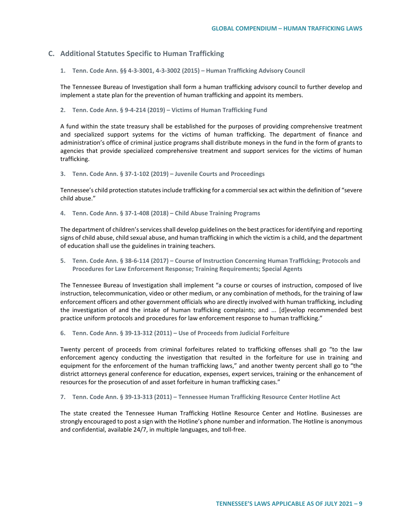# **C. Additional Statutes Specific to Human Trafficking**

**1. Tenn. Code Ann. §§ 4-3-3001, 4-3-3002 (2015) – Human Trafficking Advisory Council**

The Tennessee Bureau of Investigation shall form a human trafficking advisory council to further develop and implement a state plan for the prevention of human trafficking and appoint its members.

**2. Tenn. Code Ann. § 9-4-214 (2019) – Victims of Human Trafficking Fund** 

A fund within the state treasury shall be established for the purposes of providing comprehensive treatment and specialized support systems for the victims of human trafficking. The department of finance and administration's office of criminal justice programs shall distribute moneys in the fund in the form of grants to agencies that provide specialized comprehensive treatment and support services for the victims of human trafficking.

**3. Tenn. Code Ann. § 37-1-102 (2019) – Juvenile Courts and Proceedings**

Tennessee's child protection statutes include trafficking for a commercial sex act within the definition of "severe child abuse."

**4. Tenn. Code Ann. § 37-1-408 (2018) – Child Abuse Training Programs**

The department of children's services shall develop guidelines on the best practices for identifying and reporting signs of child abuse, child sexual abuse, and human trafficking in which the victim is a child, and the department of education shall use the guidelines in training teachers.

**5. Tenn. Code Ann. § 38-6-114 (2017) – Course of Instruction Concerning Human Trafficking; Protocols and Procedures for Law Enforcement Response; Training Requirements; Special Agents** 

The Tennessee Bureau of Investigation shall implement "a course or courses of instruction, composed of live instruction, telecommunication, video or other medium, or any combination of methods, for the training of law enforcement officers and other government officials who are directly involved with human trafficking, including the investigation of and the intake of human trafficking complaints; and ... [d]evelop recommended best practice uniform protocols and procedures for law enforcement response to human trafficking."

**6. Tenn. Code Ann. § 39-13-312 (2011) – Use of Proceeds from Judicial Forfeiture**

Twenty percent of proceeds from criminal forfeitures related to trafficking offenses shall go "to the law enforcement agency conducting the investigation that resulted in the forfeiture for use in training and equipment for the enforcement of the human trafficking laws," and another twenty percent shall go to "the district attorneys general conference for education, expenses, expert services, training or the enhancement of resources for the prosecution of and asset forfeiture in human trafficking cases."

**7. Tenn. Code Ann. § 39-13-313 (2011) – Tennessee Human Trafficking Resource Center Hotline Act**

The state created the Tennessee Human Trafficking Hotline Resource Center and Hotline. Businesses are strongly encouraged to post a sign with the Hotline's phone number and information. The Hotline is anonymous and confidential, available 24/7, in multiple languages, and toll-free.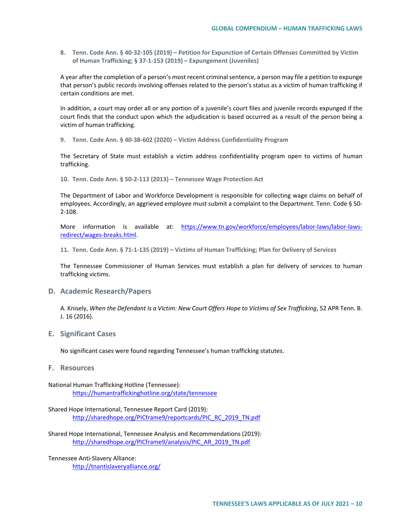**8. Tenn. Code Ann. § 40-32-105 (2019) – Petition for Expunction of Certain Offenses Committed by Victim of Human Trafficking; § 37-1-153 (2019) – Expungement (Juveniles)**

A year after the completion of a person's most recent criminal sentence, a person may file a petition to expunge that person's public records involving offenses related to the person's status as a victim of human trafficking if certain conditions are met.

In addition, a court may order all or any portion of a juvenile's court files and juvenile records expunged if the court finds that the conduct upon which the adjudication is based occurred as a result of the person being a victim of human trafficking.

**9. Tenn. Code Ann. § 40-38-602 (2020) – Victim Address Confidentiality Program**

The Secretary of State must establish a victim address confidentiality program open to victims of human trafficking.

**10. Tenn. Code Ann. § 50-2-113 (2013) – Tennessee Wage Protection Act** 

The Department of Labor and Workforce Development is responsible for collecting wage claims on behalf of employees. Accordingly, an aggrieved employee must submit a complaint to the Department. Tenn. Code § 50- 2-108.

More information is available at: [https://www.tn.gov/workforce/employees/labor-laws/labor-laws](https://www.tn.gov/workforce/employees/labor-laws/labor-laws-redirect/wages-breaks.html)[redirect/wages-breaks.html.](https://www.tn.gov/workforce/employees/labor-laws/labor-laws-redirect/wages-breaks.html)

**11. Tenn. Code Ann. § 71-1-135 (2019) – Victims of Human Trafficking; Plan for Delivery of Services**

The Tennessee Commissioner of Human Services must establish a plan for delivery of services to human trafficking victims.

**D. Academic Research/Papers**

A. Knisely, *When the Defendant Is a Victim: New Court Offers Hope to Victims of Sex Trafficking*, 52 APR Tenn. B. J. 16 (2016).

**E. Significant Cases** 

No significant cases were found regarding Tennessee's human trafficking statutes.

**F. Resources**

National Human Trafficking Hotline (Tennessee): <https://humantraffickinghotline.org/state/tennessee>

Shared Hope International, Tennessee Report Card (2019): [http://sharedhope.org/PICframe9/reportcards/PIC\\_RC\\_2019\\_TN.pdf](http://sharedhope.org/PICframe9/reportcards/PIC_RC_2019_TN.pdf)

Shared Hope International, Tennessee Analysis and Recommendations (2019): [http://sharedhope.org/PICframe9/analysis/PIC\\_AR\\_2019\\_TN.pdf](http://sharedhope.org/PICframe9/analysis/PIC_AR_2019_TN.pdf)

Tennessee Anti-Slavery Alliance: <http://tnantislaveryalliance.org/>